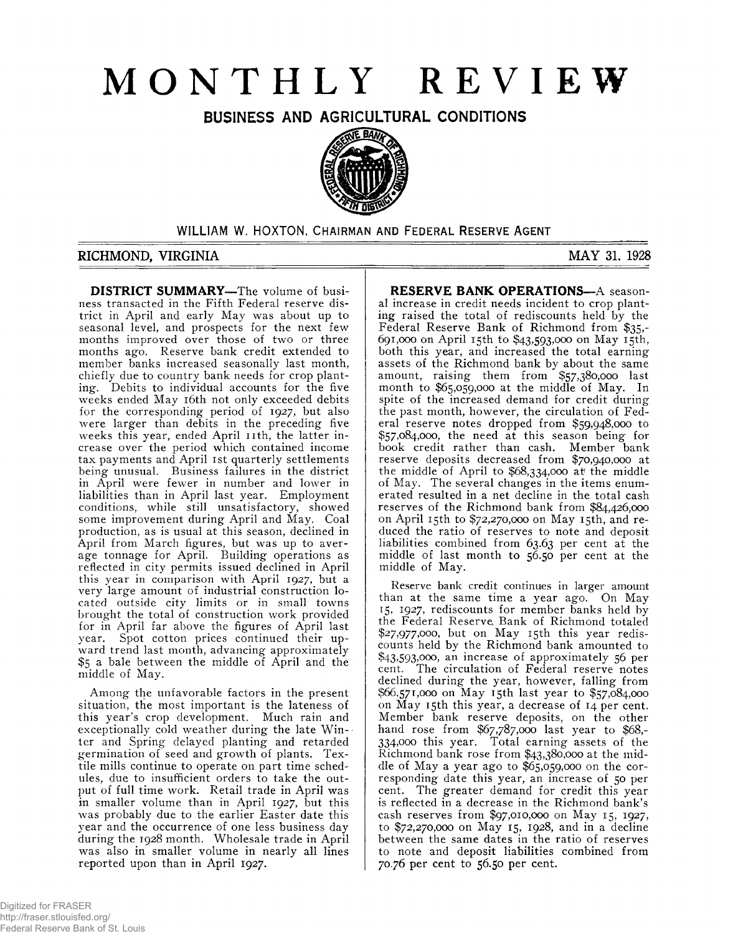# **MONTHLY REVIEW**

**BUSINESS AND AGRICULTURAL CONDITIONS**



WILLIAM W. HOXTON, CHAIRMAN AND FEDERAL RESERVE AGENT

### **RICHMOND, VIRGINIA MAY 31. 1928**

**DISTRICT SUMMARY—**The volume of business transacted in the Fifth Federal reserve district in April and early May was about up to seasonal level, and prospects for the next few months improved over those of two or three months ago. Reserve bank credit extended to member banks increased seasonally last month, chiefly due to country bank needs for crop planting. Debits to individual accounts for the five weeks ended May 16th not only exceeded debits for the corresponding period of 1927, but also were larger than debits in the preceding five weeks this year, ended April 11th, the latter increase over the period which contained income tax payments and April 1st quarterly settlements being unusual. Business failures in the district in April were fewer in number and lower in liabilities than in April last year. Employment conditions, while still unsatisfactory, showed some improvement during April and May. Coal production, as is usual at this season, declined in April from March figures, but was up to average tonnage for April. Building operations as reflected in city permits issued declined in April this year in comparison with April 1927, but a very large amount of industrial construction located outside city limits or in small towns brought the total of construction work provided for in April far above the figures of April last year. Spot cotton prices continued their upward trend last month, advancing approximately \$5 a bale between the middle of April and the middle of May.

Among the unfavorable factors in the present situation, the most important is the lateness of this year's crop development. Much rain and exceptionally cold weather during the late Win- • ter and Spring delayed planting and retarded germination of seed and growth of plants. Textile mills continue to operate on part time schedules, due to insufficient orders to take the output of full time work. Retail trade in April was in smaller volume than in April 1927, but this was probably due to the earlier Easter date this year and the occurrence of one less business day during the 1928 month. Wholesale trade in April was also in smaller volume in nearly all lines reported upon than in April 1927.

**RESERVE BANK OPERATIONS—**A seasonal increase in credit needs incident to crop planting raised the total of rediscounts held by the Federal Reserve Bank of Richmond from \$35,- 691.000 on April 15th to \$43,593,000 on May 15th, both this year, and increased the total earning assets of the Richmond bank by about the same amount, raising them from \$57,380,000 last month to \$65,059,000 at the middle of May. In spite of the increased demand for credit during the past month, however, the circulation of Federal reserve notes dropped from \$59,948,000 to \$57,084,000, the need at this season being for book credit rather than cash. Member bank reserve deposits decreased from \$70,940,000 at the middle of April to \$68,334,000 at the middle of May. The several changes in the items enumerated resulted in a net decline in the total cash reserves of the Richmond bank from \$84,426,000 on April 15th to \$72,270,000 on May 15th, and reduced the ratio of reserves to note and deposit liabilities combined from 63.63 per cent at the middle of last month to 56.50 per cent at the middle of May.

Reserve bank credit continues in larger amount than at the same time a year ago. On May 15, 1927, rediscounts for member banks held by the Federal Reserve\* Bank of Richmond totaled \$27,977,000, but on May 15th this year rediscounts held by the Richmond bank amounted to \$43,593,000, an increase of approximately 56 per cent. The circulation of Federal reserve notes declined during the year, however, falling from \$66,571,000 on May 15th last year to \$57,084,000 on May 15th this year, a decrease of 14 per cent. Member bank reserve deposits, on the other hand rose from \$67,787,000 last year to \$68,- 334.000 this year. Total earning assets of the Richmond bank rose from \$43,380,000 at the middle of May a year ago to \$65,059,000 on the corresponding date this year, an increase of 50 per cent. The greater demand for credit this year is reflected in a decrease in the Richmond bank's cash reserves from \$97,010,000 on May 15, 1927, to \$72,270,000 on May 15, 1928, and in a decline between the same dates in the ratio of reserves to note and deposit liabilities combined from 70.76 per cent to 56.50 per cent.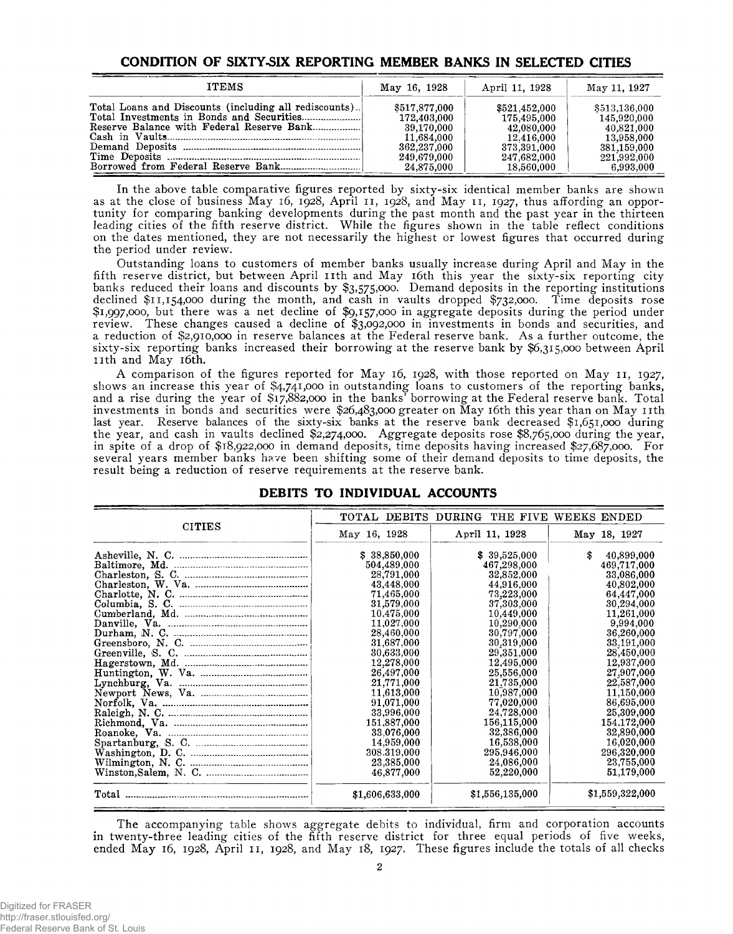## **CONDITION OF SIXTY-SIX REPORTING MEMBER BANKS IN SELECTED CITIES**

| <b>ITEMS</b>                                           | May 16, 1928  | April 11, 1928 | May 11, 1927  |
|--------------------------------------------------------|---------------|----------------|---------------|
| Total Loans and Discounts (including all rediscounts). | \$517,877,000 | \$521.452.000  | \$513.136,000 |
|                                                        | 172,403,000   | 175.495.000    | 145.920.000   |
|                                                        | 39.170.000    | 42,080,000     | 40.821.000    |
|                                                        | 11,684,000    | 12.416.000     | 13.958.000    |
|                                                        | 362,237,000   | 373,391,000    | 381,159,000   |
|                                                        | 249.679.000   | 247.682.000    | 221,992,000   |
|                                                        | 24,875,000    | 18,560,000     | 6.993.000     |

In the above table comparative figures reported by sixty-six identical member banks are shown as at the close of business May 16, 1928, April 11, 1928, and May 11, 1927, thus affording an opportunity for comparing banking developments during the past month and the past year in the thirteen leading cities of the fifth reserve district. While the figures shown in the table reflect conditions on the dates mentioned, they are not necessarily the highest or lowest figures that occurred during the period under review.

Outstanding loans to customers of member banks usually increase during April and May in the fifth reserve district, but between April 11th and May 16th this year the sixty-six reporting city banks reduced their loans and discounts by \$3,575,000. Demand deposits in the reporting institutions declined \$11,154,000 during the month, and cash in vaults dropped \$732,000. Time deposits rose \$1,997,000, but there was a net decline of \$9,157,000 in aggregate deposits during the period under review. These changes caused a decline of \$3,092,000 in investments in bonds and securities, and a reduction of \$2,910,000 in reserve balances at the Federal reserve bank. As a further outcome, the sixty-six reporting banks increased their borrowing at the reserve bank by \$6,315,000 between April nth and May 16th.

A comparison of the figures reported for May 16, 1928, with those reported on May 11, 1927, shows an increase this year of \$4,741,000 in outstanding loans to customers of the reporting banks, and a rise during the year of \$17,882,000 in the banks' borrowing at the Federal reserve bank. Total investments in bonds and securities were \$26,483,000 greater on May 16th this year than on May nth last year. Reserve balances of the sixty-six banks at the reserve bank decreased \$1,651,000 during the year, and cash in vaults declined \$2,274,000. Aggregate deposits rose \$8,765,000 during the year, in spite of a drop of \$18,922,000 in demand deposits, time deposits having increased \$27,687,000. For several years member banks have been shifting some of their demand deposits to time deposits, the result being a reduction of reserve requirements at the reserve bank.

|                                 | TOTAL DEBITS DURING | THE FIVE        | WEEKS ENDED      |
|---------------------------------|---------------------|-----------------|------------------|
| <b>CITIES</b>                   | May 16, 1928        | April 11, 1928  | May 18, 1927     |
|                                 | \$38,850,000        | 39,525,000      | \$<br>40,899,000 |
|                                 | 504,489,000         | 467,298,000     | 469,717,000      |
|                                 | 28,791,000          | 32,852,000      | 33,086,000       |
|                                 | 43,448,000          | 44,916,000      | 40,802,000       |
|                                 | 71,465,000          | 73,223,000      | 64,447,000       |
|                                 | 31,579,000          | 37,303,000      | 30,294,000       |
|                                 | 10,475,000          | 10,449,000      | 11,261,000       |
|                                 | 11.027.000          | 10,290.000      | 9,994,000        |
|                                 | 28,460,000          | 30,797,000      | 36,260,000       |
|                                 | 31,687,000          | 30,319,000      | 33,191,000       |
|                                 | 30,633,000          | 29,351,000      | 28,450,000       |
|                                 | 12,278,000          | 12,495,000      | 12,937,000       |
|                                 | 26,497,000          | 25,556,000      | 27,907,000       |
|                                 | 21,771,000          | 21,735,000      | 22,587,000       |
|                                 | 11,613,000          | 10,987,000      | 11,150,000       |
|                                 | 91,071,000          | 77,020,000      | 86,695,000       |
|                                 | 33,996,000          | 24,728,000      | 25,309,000       |
|                                 | 151,887,000         | 156,115,000     | 154,172,000      |
|                                 | 33.076,000          | 32,386,000      | 32,890,000       |
|                                 | 14,959,000          | 16,538,000      | 16,020,000       |
|                                 | 308.319,000         | 295,946,000     | 296,320,000      |
|                                 | 23,385,000          | 24,086,000      | 23,755,000       |
|                                 | 46,877,000          | 52,220,000      | 51,179,000       |
| $\operatorname{\textsf{Total}}$ | \$1,606,633,000     | \$1,556,135,000 | \$1,559,322,000  |

#### **DEBITS TO INDIVIDUAL ACCOUNTS**

The accompanying table shows aggregate debits to individual, firm and corporation accounts in twenty-three leading cities of the fifth reserve district for three equal periods of five weeks, ended May 16, 1928, April 11, 1928, and May 18, 1927. These figures include the totals of all checks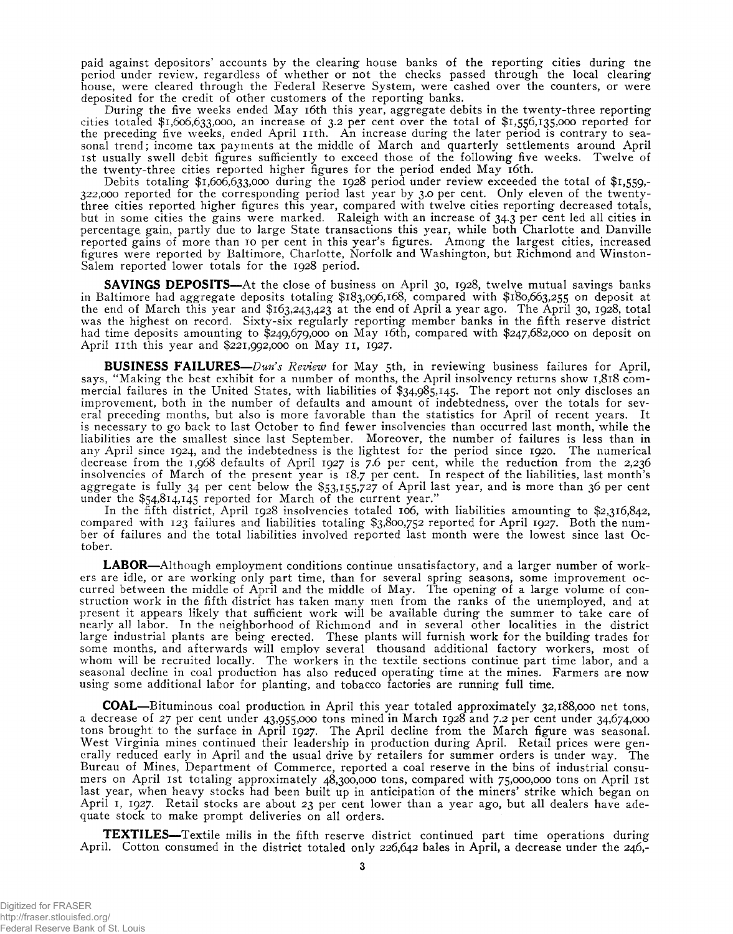paid against depositors' accounts by the clearing house banks of the reporting cities during the period under review, regardless of whether or not the checks passed through the local clearing house, were cleared through the Federal Reserve System, were cashed over the counters, or were deposited for the credit of other customers of the reporting banks.

During the five weeks ended May 16th this year, aggregate debits in the twenty-three reporting cities totaled \$1,606,633,000, an increase of 3.2 per cent over the total of \$1,556,135,000 reported for the preceding five weeks, ended April 11th. An increase during the later period is contrary to seasonal trend; income tax payments at the middle of March and quarterly settlements around April 1st usually swell debit figures sufficiently to exceed those of the following five weeks. Twelve of the twenty-three cities reported higher figures for the period ended May 16th.

Debits totaling  $$1,606,633,000$  during the 1928 period under review exceeded the total of  $$1,559,-$ 322,000 reported for the corresponding period last year by 3.0 per cent. Only eleven of the twentythree cities reported higher figures this year, compared with twelve cities reporting decreased totals, but in some cities the gains were marked. Raleigh with an increase of 34.3 per cent led all cities in percentage, gain, partly due to large State transactions this year, while both Charlotte and Danville reported gains of more than 10 per cent in this year's figures. Among the largest cities, increased figures were reported by Baltimore, Charlotte, Norfolk and Washington, but Richmond and Winston-Salem reported lower totals for the 1928 period.

**SAVINGS DEPOSITS**—At the close of business on April 30, 1928, twelve mutual savings banks in Baltimore had aggregate deposits totaling \$183,096,168, compared with \$180,663,255 on deposit at the end of March this year and \$163,243,423 at the end of April a year ago. The April 30, 1928, total was the highest on record. Sixty-six regularly reporting member banks in the fifth reserve district had time deposits amounting to \$249,679,000 on May 16th, compared with \$247,682,000 on deposit on April 11th this year and  $$221,992,000$  on May 11, 1927.

**BUSINESS FAILURES**—*Dun's Review* for May 5th, in reviewing business failures for April, says, " Making the best exhibit for a number of months, the April insolvency returns show 1,818 commercial failures in the United States, with liabilities of \$34,985,145. The report not only discloses an improvement, both in the number of defaults and amount of indebtedness, over the totals for several preceding months, but also is more favorable than the statistics for April of recent years. It is necessary to go back to last October to find fewer insolvencies than occurred last month, while the liabilities are the smallest since last September. Moreover, the number of failures is less than in any April since 1924, and the indebtedness is the lightest for the period since 1920. The numerical decrease from the 1,968 defaults of April 1927 is 7.6 per cent, while the reduction from the 2,236 insolvencies of March of the present year is 18.7 per cent. In respect of the liabilities, last month's aggregate is fully 34 per cent below the \$53,155,727 of April last year, and is more than 36 per cent under the \$54,814,145 reported for March of the current year.'

In the fifth district, April 1928 insolvencies totaled 106, with liabilities amounting to \$2,316,842, compared with 123 failures and liabilities totaling \$3,800,752 reported for April 1927. Both the number of failures and the total liabilities involved reported last month were the lowest since last October.

**LABOR**—Although employment conditions continue unsatisfactory, and a larger number of workers are idle, or are working only part time, than for several spring seasons, some improvement occurred between the middle of April and the middle of May. The opening of a large volume of construction work in the fifth district has taken many men from the ranks of the unemployed, and at present it appears likely that sufficient work will be available during the summer to take care of nearly all labor. In the neighborhood of Richmond and in several other localities in the district large industrial plants are being erected. These plants will furnish work for the building trades for some months, and afterwards will employ several thousand additional factory workers, most of whom will be recruited locally. The workers in the textile sections continue part time labor, and a seasonal decline in coal production has also reduced operating time at the mines. Farmers are now using some additional labor for planting, and tobacco factories are running full time.

**COAL**—Bituminous coal production in April this year totaled approximately 32,188,000 net tons, a decrease of 27 per cent under 43,955,000 tons mined in March 1928 and 7.2 per cent under 34,674,000 tons brought to the surface in April 1927. The April decline from the March figure was seasonal. West Virginia mines continued their leadership in production during April. Retail prices were generally reduced early in April and the usual drive by retailers for summer orders is under way. The Bureau of Mines, Department of Commerce, reported a coal reserve in the bins of industrial consumers on April 1st totaling approximately 48,300,000 tons, compared with 75,000,000 tons on April 1st last year, when heavy stocks had been built up in anticipation of the miners' strike which began on April 1, 1927. Retail stocks are about 23 per cent lower than a year ago, but all dealers have adequate stock to make prompt deliveries on all orders.

**TEXTILES**—Textile mills in the fifth reserve district continued part time operations during April. Cotton consumed in the district totaled only 226,642 bales in April, a decrease under the 246,-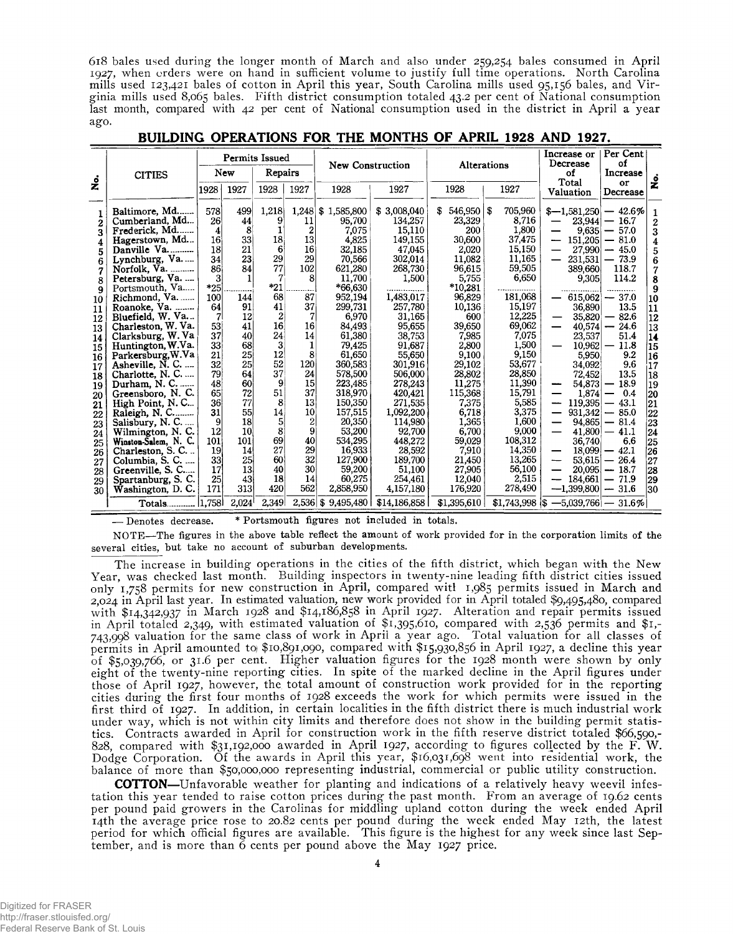618 bales used during the longer month of March and also under 259,254 bales consumed in April 1927, when orders were on hand in sufficient volume to justify full time operations. North Carolina mills used 123,421 bales of cotton in April this year, South Carolina mills used 95,156 bales, and Virginia mills used 8,065 bales. Fifth district consumption totaled 43.2 per cent of National consumption last month, compared with 42 per cent of National consumption used in the district in April a year ago.

|                                                                                                                               |                                                                                                                                                                                                                                                                                                                                                                                                                                                             |                                                                                                                                               | <b>Permits Issued</b>                                                                                                                          |                                                                                                                              |                                                                                                                                                                                    | New Construction                                                                                                                                                                                                                                           |                                                                                                                                                                                                                                                         | Alterations                                                                                                                                                                                                                                |                                                                                                                                                                                                                            | Increase or<br>Decrease                                                                                                                                                                                                                                                                 | Per Cent<br>οf                                                                                                                                                                                                                                                                                       |                                                                                                                                                       |
|-------------------------------------------------------------------------------------------------------------------------------|-------------------------------------------------------------------------------------------------------------------------------------------------------------------------------------------------------------------------------------------------------------------------------------------------------------------------------------------------------------------------------------------------------------------------------------------------------------|-----------------------------------------------------------------------------------------------------------------------------------------------|------------------------------------------------------------------------------------------------------------------------------------------------|------------------------------------------------------------------------------------------------------------------------------|------------------------------------------------------------------------------------------------------------------------------------------------------------------------------------|------------------------------------------------------------------------------------------------------------------------------------------------------------------------------------------------------------------------------------------------------------|---------------------------------------------------------------------------------------------------------------------------------------------------------------------------------------------------------------------------------------------------------|--------------------------------------------------------------------------------------------------------------------------------------------------------------------------------------------------------------------------------------------|----------------------------------------------------------------------------------------------------------------------------------------------------------------------------------------------------------------------------|-----------------------------------------------------------------------------------------------------------------------------------------------------------------------------------------------------------------------------------------------------------------------------------------|------------------------------------------------------------------------------------------------------------------------------------------------------------------------------------------------------------------------------------------------------------------------------------------------------|-------------------------------------------------------------------------------------------------------------------------------------------------------|
|                                                                                                                               | <b>CITIES</b>                                                                                                                                                                                                                                                                                                                                                                                                                                               |                                                                                                                                               | New                                                                                                                                            | Repairs                                                                                                                      |                                                                                                                                                                                    |                                                                                                                                                                                                                                                            |                                                                                                                                                                                                                                                         |                                                                                                                                                                                                                                            |                                                                                                                                                                                                                            | of                                                                                                                                                                                                                                                                                      | Increase                                                                                                                                                                                                                                                                                             | غ<br>گ                                                                                                                                                |
| $\mathring{\mathbf{z}}$                                                                                                       |                                                                                                                                                                                                                                                                                                                                                                                                                                                             | 1928                                                                                                                                          | 1927                                                                                                                                           | 1928                                                                                                                         | 1927                                                                                                                                                                               | 1928                                                                                                                                                                                                                                                       | 1927                                                                                                                                                                                                                                                    | 1928                                                                                                                                                                                                                                       | 1927                                                                                                                                                                                                                       | Total<br>Valuation                                                                                                                                                                                                                                                                      | or<br>Decrease                                                                                                                                                                                                                                                                                       |                                                                                                                                                       |
| 1<br>2<br>3<br>4<br>5<br>6<br>7<br>8<br>9<br>10<br>11<br>12<br>13<br>14<br>15<br>16<br>17<br>18<br>19<br>20<br>21<br>22<br>23 | Baltimore, Md<br>Cumberland, Md<br>Frederick, Md<br>Hagerstown, Md<br>Danville Va<br>Lynchburg, Va<br>Norfolk, Va.<br>Petersburg, Va.<br>Portsmouth, Va<br>Richmond, Va.<br>Roanoke, Va.<br>Bluefield, W. Va<br>Charleston, W. Va.<br>Clarksburg, W. Va<br>Huntington, W.Va.<br>Parkersburg, W.Va<br>Asheville, N. C.<br>Charlotte, N. C.<br>Durham, N. C.<br>Greensboro, N.C.<br>High Point, N.C<br>Raleigh, N. C<br>Salisbury, N. C.<br>Wilmington, N. C. | 578<br>26<br>4<br>16<br>18<br>34<br>86<br>3<br>$*25$<br>100<br>64<br>7<br>53<br>37<br>33<br>21<br>32<br>79<br>48<br>65<br>36<br>31<br>9<br>12 | 499<br>44<br>8 <sup>1</sup><br>33<br>21<br>23<br>84<br>144<br>91<br>12<br>41<br>40<br>68<br>25<br>25<br>64<br>60<br>72<br>77<br>55<br>18<br>10 | 1,218<br>9<br>18<br>6<br>29<br>77<br>*21<br>68<br>41<br>2<br>16<br>24<br>3<br>12<br>52<br>37<br>9<br>51<br>8<br>14<br>5<br>8 | 1,248<br>11<br>$\mathbf{2}$<br>13<br>16<br>29<br>102<br>8<br>$- - - - -$<br>87<br>37<br>7<br>16<br>14<br>1<br>8<br><b>120</b><br>24<br>15<br>37<br>13 <sup>5</sup><br>10<br>2<br>9 | \$1,585,800<br>95,700<br>7.075<br>4,825<br>32,185<br>70,566<br>621,280<br>11,700<br>$*66.630$<br>952,194<br>299.731<br>6,970<br>84,493<br>61,380<br>79,425<br>61,650<br>360,583<br>578,500<br>223,485<br>318,970<br>150,350<br>157.515<br>20,350<br>53,200 | \$3,008,040<br>134.257<br>15,110<br>149,155<br>47,045<br>302,014<br>268,730<br>1,500<br>1,483,017<br>257,780<br>31,165<br>95,655<br>38,753<br>91,687<br>55,650<br>301,916<br>506,000<br>278,243<br>420,421<br>271,535<br>1,092,200<br>114,980<br>92,700 | $546,950$ \$<br>S<br>23,329<br>200<br>30,600<br>2,020<br>11,082<br>96,615<br>5,755<br>*10.281<br>96,829<br>10,136<br>600<br>39,650<br>7,985<br>2,800<br>9,100<br>29,102<br>28,802<br>11,275<br>115,368<br>7.375<br>6,718<br>1,365<br>6.700 | 705,960<br>8,716<br>1,800<br>37,475<br>15,150<br>11,165<br>59,505<br>6,650<br>181,068<br>15,197<br>12,225<br>69,062<br>7,075<br>1.500<br>9,150<br>53.677<br>28,850<br>11,390<br>15,791<br>5,585<br>3,375<br>1,600<br>9,000 | $$-1,581,250$ $- 42.6\%$<br>23,944<br>9,635<br>151,205<br>$\overline{\phantom{m}}$<br>27,990<br>231,531<br>389,660<br>9,305<br>36,890<br>35,820<br>40,574<br>$\overline{\phantom{0}}$<br>23,537<br>10.962<br>5,950<br>34,092<br>72,452<br>54,873<br>1,874<br>$119,395$ –<br>-<br>—<br>— | 16.7<br>$\hspace{0.1mm}-\hspace{0.1mm}$<br>$-57.0$<br>$-81.0$<br>$-45.0$<br>$-73.9$<br>118.7<br>114.2<br>$615,062$ – 37.0<br>13.5<br>82.6<br>24.6<br>$\overline{\phantom{m}}$<br>51.4<br>11.8<br>9.2<br>9.6<br>13.5<br>18.9<br>0.4<br>43.1<br>$931.342 - 85.0$<br>$94.865 - 81.4$<br>$41,800 - 41.1$ | 1<br>$\boldsymbol{2}$<br>3<br>4<br>5<br>6<br>7<br>8<br>9<br>10<br> 11<br>12<br>13<br>14<br>15<br>16<br>17¦<br>18<br> 19<br>20<br>21<br>22<br>23<br>24 |
| 24<br>25<br>26<br>27<br>28<br>29<br>30                                                                                        | Winston-Salem, N. C.<br>Charleston, S. C<br>Columbia, S. C.<br>Greenville, S. C<br>Spartanburg, S. C.<br>Washington, D.C.                                                                                                                                                                                                                                                                                                                                   | $101^{\circ}$<br>19<br>33 <sup>1</sup><br>17<br>25<br>171                                                                                     | 101<br>14<br>25 <sub>1</sub><br>13<br>43<br>313                                                                                                | 69<br>27<br>60<br>40<br>18<br>420                                                                                            | 40<br>29<br>32<br>30<br>14<br>562                                                                                                                                                  | 534.295<br>16.933<br>127.900<br>59,200<br>60.275<br>2,858,950                                                                                                                                                                                              | 448,272<br>28,592<br>189,700<br>51,100<br>254.461<br>4,157,180                                                                                                                                                                                          | 59,029<br>7,910<br>21,450<br>27,905<br>12,040<br>176,920                                                                                                                                                                                   | 108,312<br>14,350<br>13,265<br>56,100<br>2,515<br>278,490                                                                                                                                                                  | 36,740<br>—<br>53,615<br>--<br>$20,095$ –<br>184,661<br>$-1,399,800$                                                                                                                                                                                                                    | 6.6<br>$18,099 - 42.1$<br>26.4<br>$\overline{\phantom{m}}$<br>18.7<br>71.9<br>$-31.6$                                                                                                                                                                                                                | 25<br>126<br>27<br>28<br>29<br>30                                                                                                                     |
|                                                                                                                               | Totals   1,758                                                                                                                                                                                                                                                                                                                                                                                                                                              |                                                                                                                                               | 2,024                                                                                                                                          | 2.349                                                                                                                        |                                                                                                                                                                                    |                                                                                                                                                                                                                                                            | $2,536$ \$ 9,495,480   \$14,186,858                                                                                                                                                                                                                     | \$1,395,610                                                                                                                                                                                                                                |                                                                                                                                                                                                                            | $$1,743,998$ is $-5,039,766$ $-31.6\%$                                                                                                                                                                                                                                                  |                                                                                                                                                                                                                                                                                                      |                                                                                                                                                       |

BUILDING OPERATIONS FOR THE MONTHS OF APRIL 1928 AND 1927.

— Denotes decrease. \* Portsmouth figures not included in totals.

NOTE—The figures in the above table reflect the amount of work provided for in the corporation limits of the several cities, but take no account of suburban developments.

The increase in building operations in the cities of the fifth district, which began with the New Year, was checked last month. Building inspectors in twenty-nine leading fifth district cities issued only 1,758 permits for new construction in April, compared witl 1,985 permits issued in March and 2,024 in April last year. In estimated valuation, new work provided for in April totaled \$9,495,480, compared with \$14,342,937 in March 1928 and \$14,186,858 in April 1927. Alteration and repair permits issued in April totaled 2,349, with estimated valuation of \$1,395,610, compared with 2,536 permits and \$1,- 743,998 valuation for the same class of work in April a year ago. Total valuation for all classes of permits in April amounted toj \$10,891,090, compared with \$15,930,856 in April 1927, a decline this year of \$5,039,766, or 31.6 per cent. Higher valuation figures for the 1928 month were shown by only eight of the twenty-nine reporting cities. In spite of the marked decline in the April figures under those of April 1927, however, the total amount of construction work provided for in the reporting cities during the first four months of 1928 exceeds the work for which permits were issued in the first third of 1927. In addition, in certain localities in the fifth district there is much industrial work under way, which is not within city limits and therefore does not show in the building permit statistics. Contracts awarded in April for construction work in the fifth reserve district totaled \$66,590,- 828, compared with \$31,192,000 awarded in April 1927, according to figures collected by the F. W. Dodge Corporation. Of the awards in April this year, \$16,031,698 went into residential work, the balance of more than \$50,000,000 representing industrial, commercial or public utility construction.

**COTTON**—Unfavorable weather for planting and indications of a relatively heavy weevil infestation this year tended to raise cotton prices during the past month. From an average of 19.62 cents per pound paid growers in the Carolinas for middling upland cotton during the week ended April 14th the average price rose to 20.82 cents per pound during the week ended May 12th, the latest period for which official figures are available. This figure is the highest for any week since last September, and is more than 6 cents per pound above the May 1927 price.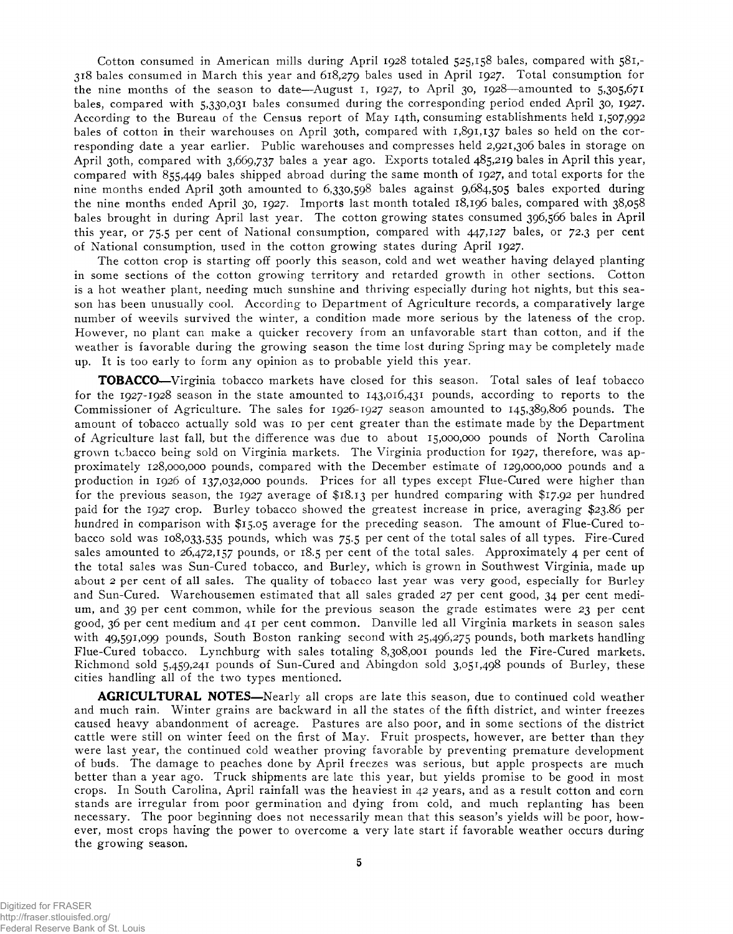Cotton consumed in American mills during April 1928 totaled 525,158 bales, compared with 581,- 318 bales consumed in March this year and 618,279 bales used in April 1927. Total consumption for the nine months of the season to date—August 1, 1927, to April 30, 1928—amounted to  $5,305,671$ bales, compared with 5,330,031 bales consumed during the corresponding period ended April 30, 1927. According to the Bureau of the Census report of May 14th, consuming establishments held 1,507,992 bales of cotton in their warehouses on April 30th, compared with 1,891,137 bales so held on the corresponding date a year earlier. Public warehouses and compresses held 2,921,306 bales in storage on April 30th, compared with 3,669,737 bales a year ago. Exports totaled 485,219 bales in April this year, compared with 855,449 bales shipped abroad during the same month of 1927, and total exports for the nine months ended April 30th amounted to 6,330,598 bales against 9,684,505 bales exported during the nine months ended April 30, 1927. Imports last month totaled 18,196 bales, compared with 38,058 bales brought in during April last year. The cotton growing states consumed 396,566 bales in April this year, or 75.5 per cent of National consumption, compared with 447,127 bales, or 72.3 per cent of National consumption, used in the cotton growing states during April 1927.

The cotton crop is starting off poorly this season, cold and wet weather having delayed planting in some sections of the cotton growing territory and retarded growth in other sections. Cotton is a hot weather plant, needing much sunshine and thriving especially during hot nights, but this season has been unusually cool. According to Department of Agriculture records, a comparatively large number of weevils survived the winter, a condition made more serious by the lateness of the crop. However, no plant can make a quicker recovery from an unfavorable start than cotton, and if the weather is favorable during the growing season the time lost during Spring may be completely made up. It is too early to form any opinion as to probable yield this year.

**TOBACCO**—Virginia tobacco markets have closed for this season. Total sales of leaf tobacco for the 1927-1928 season in the state amounted to 143,016,431 pounds, according to reports to the Commissioner of Agriculture. The sales for 1926-1927 season amounted to 145,389,806 pounds. The amount of tobacco actually sold was 10 per cent greater than the estimate made by the Department of Agriculture last fall, but the difference was due to about 15,000,000 pounds of North Carolina grown tobacco being sold on Virginia markets. The Virginia production for 1927, therefore, was approximately 128,000,000 pounds, compared with the December estimate of 129,000,000 pounds and a production in 1926 of 137,032,000 pounds. Prices for all types except Flue-Cured were higher than for the previous season, the 1927 average of \$18.13 per hundred comparing with \$17.92 per hundred paid for the 1927 crop. Burley tobacco showed the greatest increase in price, averaging \$23.86 per hundred in comparison with \$15.05 average for the preceding season. The amount of Flue-Cured tobacco sold was 108,033,535 pounds, which was 75.5 per cent of the total sales of all types. Fire-Cured sales amounted to 26,472,157 pounds, or 18.5 per cent of the total sales. Approximately 4 per cent of the total sales was Sun-Cured tobacco, and Burley, which is grown in Southwest Virginia, made up about 2 per cent of all sales. The quality of tobacco last year was very good, especially for Burley and Sun-Cured. Warehousemen estimated that all sales graded 27 per cent good, 34 per cent medium, and 39 per cent common, while for the previous season the grade estimates were 23 per cent good, 36 per cent medium and 41 per cent common. Danville led all Virginia markets in season sales with 49,591,099 pounds, South Boston ranking second with 25,496,275 pounds, both markets handling Flue-Cured tobacco. Lynchburg with sales totaling 8,308,001 pounds led the Fire-Cured markets. Richmond sold 5,459,241 pounds of Sun-Cured and Abingdon sold 3,051,498 pounds of Burley, these cities handling all of the two types mentioned.

**AGRICULTURAL NOTES—**Nearly all crops are late this season, due to continued cold weather and much rain. Winter grains are backward in all the states of the fifth district, and winter freezes caused heavy abandonment of acreage. Pastures are also poor, and in some sections of the district cattle were still on winter feed on the first of May. Fruit prospects, however, are better than they were last year, the continued cold weather proving favorable by preventing premature development of buds. The damage to peaches done by April freezes was serious, but apple prospects are much better than a year ago. Truck shipments are late this year, but yields promise to be good in most crops. In South Carolina, April rainfall was the heaviest in 42 years, and as a result cotton and corn stands are irregular from poor germination and dying from cold, and much replanting has been necessary. The poor beginning does not necessarily mean that this season's yields will be poor, however, most crops having the power to overcome a very late start if favorable weather occurs during the growing season.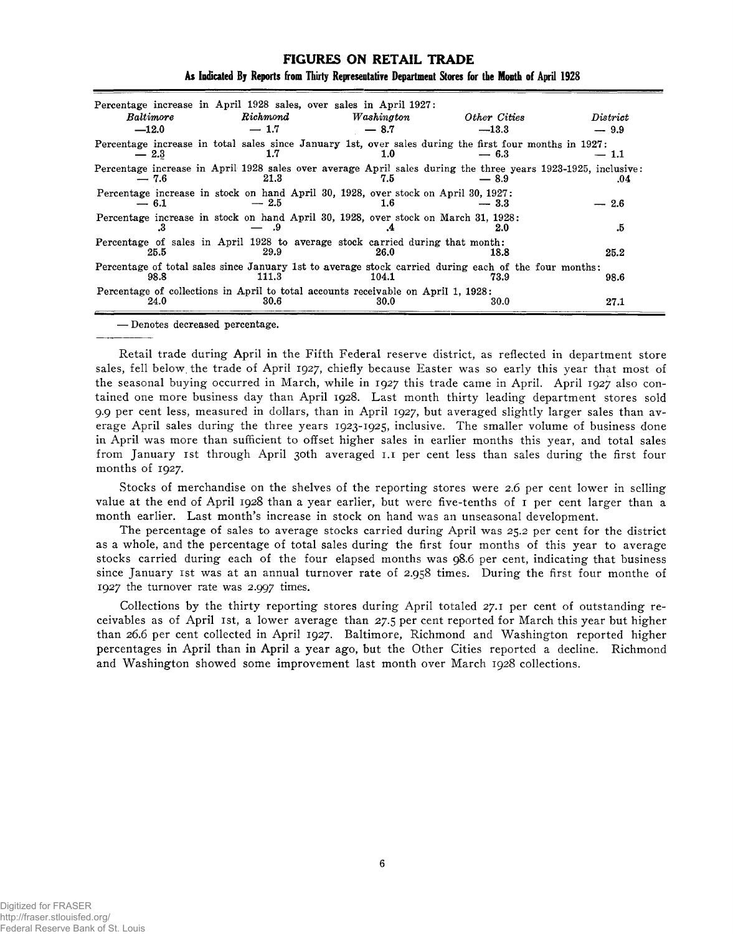| <i>Baltimore</i><br>$-12.0$ | Percentage increase in April 1928 sales, over sales in April 1927:<br>Richard<br>$-1.7$      | Washington<br>$-8.7$ | Other Cities<br>$-13.3$                                                                                                 | District<br>$-9.9$ |
|-----------------------------|----------------------------------------------------------------------------------------------|----------------------|-------------------------------------------------------------------------------------------------------------------------|--------------------|
|                             |                                                                                              |                      |                                                                                                                         |                    |
| $-2.3$                      | 1.7                                                                                          | 1.0                  | Percentage increase in total sales since January 1st, over sales during the first four months in 1927:<br>$-6.3$        | $-~1.1$            |
| $-7.6$                      | 21.3                                                                                         | 7.5                  | Percentage increase in April 1928 sales over average April sales during the three years 1923-1925, inclusive:<br>$-8.9$ | .04                |
| $-6.1$                      | Percentage increase in stock on hand April 30, 1928, over stock on April 30, 1927:<br>$-2.5$ | 1.6                  | $-3.3$                                                                                                                  | $-2.6$             |
| .з                          | Percentage increase in stock on hand April 30, 1928, over stock on March 31, 1928:<br>.9     |                      | 2.0                                                                                                                     | .5                 |
| 25.5                        | Percentage of sales in April 1928 to average stock carried during that month:<br>29.9        | 26.0                 | 18.8                                                                                                                    | 25.2               |
| 98.8                        | 111.3                                                                                        | 104.1                | Percentage of total sales since January 1st to average stock carried during each of the four months:<br>73.9            | 98.6               |
| 24.0                        | Percentage of collections in April to total accounts receivable on April 1, 1928:<br>30.6    | 30.0                 | 30.0                                                                                                                    | 27.1               |

## **FIGURES ON RETAIL TRADE As Indicated By Reports from Thirty Representative Department Stores for the Month of April 1928**

— Denotes decreased percentage.

Retail trade during April in the Fifth Federal reserve district, as reflected in department store sales, fell below, the trade of April 1927, chiefly because Easter was so early this year that most of the seasonal buying occurred in March, while in 1927 this trade came in April. April 1927 also contained one more business day than April 1928. Last month thirty leading department stores sold 9.9 per cent less, measured in dollars, than in April 1927, but averaged slightly larger sales than average April sales during the three years 1923-1925, inclusive. The smaller volume of business done in April was more than sufficient to offset higher sales in earlier months this year, and total sales from January 1st through April 30th averaged 1.1 per cent less than sales during the first four months of 1927.

Stocks of merchandise on the shelves of the reporting stores were 2.6 per cent lower in selling value at the end of April 1928 than a year earlier, but were five-tenths of 1 per cent larger than a month earlier. Last month's increase in stock on hand was an unseasonal development.

The percentage of sales to average stocks carried during April was 25.2 per cent for the district as a whole, and the percentage of total sales during the first four months of this year to average stocks carried during each of the four elapsed months was 98.6 per cent, indicating that business since January 1st was at an annual turnover rate of 2.958 times. During the first four monthe of 1927 the turnover rate was 2.997 times.

Collections by the thirty reporting stores during April totaled 27.1 per cent of outstanding receivables as of April 1st, a lower average than 27.5 per cent reported for March this year but higher than 26.6 per cent collected in April 1927. Baltimore, Richmond and Washington reported higher percentages in April than in April a year ago, but the Other Cities reported a decline. Richmond and Washington showed some improvement last month over March 1928 collections.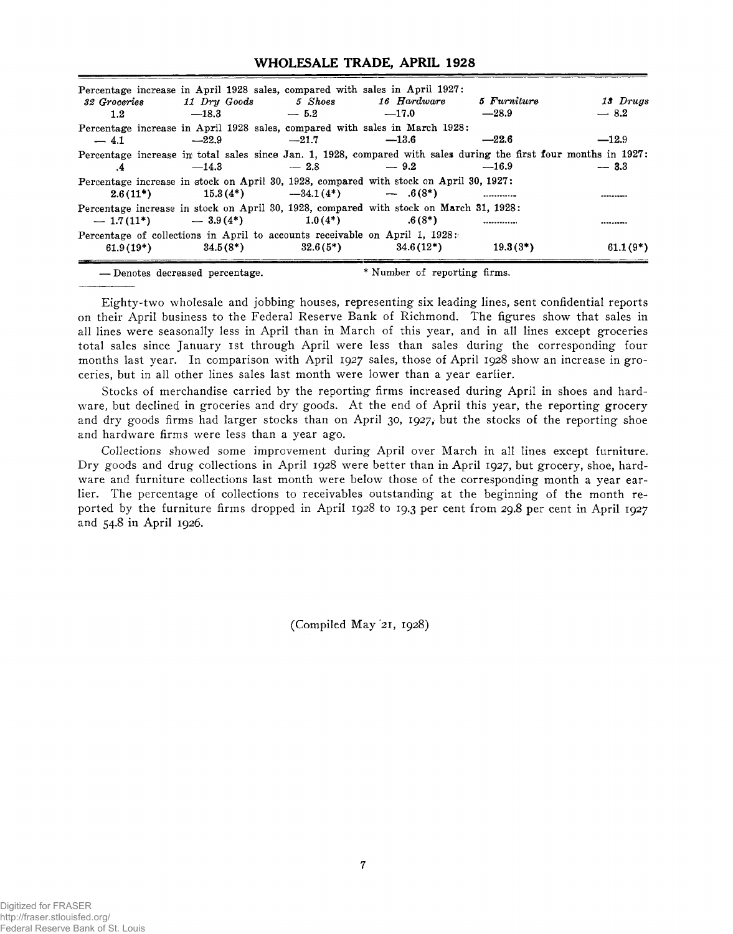#### **WHOLESALE TRADE, APRIL 1928**

| 32 Groceries<br>1.2 | Percentage increase in April 1928 sales, compared with sales in April 1927:<br>11 Dry Goods 5 Shoes<br>$-18.3$                   | $-5.2$  | 16 Hardware<br>$-17.0$                                                                                                                   | 5 Furniture<br>$-28.9$ | 13 Drugs<br>$-8.2$ |
|---------------------|----------------------------------------------------------------------------------------------------------------------------------|---------|------------------------------------------------------------------------------------------------------------------------------------------|------------------------|--------------------|
| $-4.1$              | Percentage increase in April 1928 sales, compared with sales in March 1928:<br>$-22.9$                                           | $-21.7$ | $-13.6$                                                                                                                                  | $-22.6$                | $-12.9$            |
| $\cdot$ 4           | $-14.3$ $-2.8$ $-9.2$                                                                                                            |         | Percentage increase in total sales since Jan. 1, 1928, compared with sales during the first four months in 1927:                         | $-16.9$                | $-3.3$             |
|                     |                                                                                                                                  |         | Percentage increase in stock on April 30, 1928, compared with stock on April 30, 1927:<br>$2.6(11^*)$ $15.3(4^*)$ $-34.1(4^*)$ $-6(8^*)$ |                        |                    |
|                     | $-1.7(11^*)$ $-3.9(4^*)$ $1.0(4^*)$                                                                                              |         | Percentage increase in stock on April 30, 1928, compared with stock on March 31, 1928:<br>$.6(8*)$                                       |                        |                    |
|                     | Percentage of collections in April to accounts receivable on April 1, 1928:<br>$61.9(19^*)$ $34.5(8^*)$ $32.6(5^*)$ $34.6(12^*)$ |         |                                                                                                                                          | $19.3(3^*)$            | $61.1(9*)$         |
|                     |                                                                                                                                  |         |                                                                                                                                          |                        |                    |

— Denotes decreased percentage. \* Number of reporting firms.

Eighty-two wholesale and jobbing houses, representing six leading lines, sent confidential reports on their April business to the Federal Reserve Bank of Richmond. The figures show that sales in all lines were seasonally less in April than in March of this year, and in all lines except groceries total sales since January ist through April were less than sales during the corresponding four months last year. In comparison with April 1927 sales, those of April 1928 show an increase in groceries, but in all other lines sales last month were lower than a year earlier.

Stocks of merchandise carried by the reporting firms increased during April in shoes and hardware, but declined in groceries and dry goods. At the end of April this year, the reporting grocery and dry goods firms had larger stocks than on April 30, 1927, but the stocks of the reporting shoe and hardware firms were less than a year ago.

Collections showed some improvement during April over March in all lines except furniture. Dry goods and drug collections in April 1928 were better than in April 1927, but grocery, shoe, hardware and furniture collections last month were below those of the corresponding month a year earlier. The percentage of collections to receivables outstanding at the beginning of the month reported by the furniture firms dropped in April 1928 to 19.3 per cent from 29.8 per cent in April 1927 and 54.8 in April 1926.

(Compiled May 21, 1928)